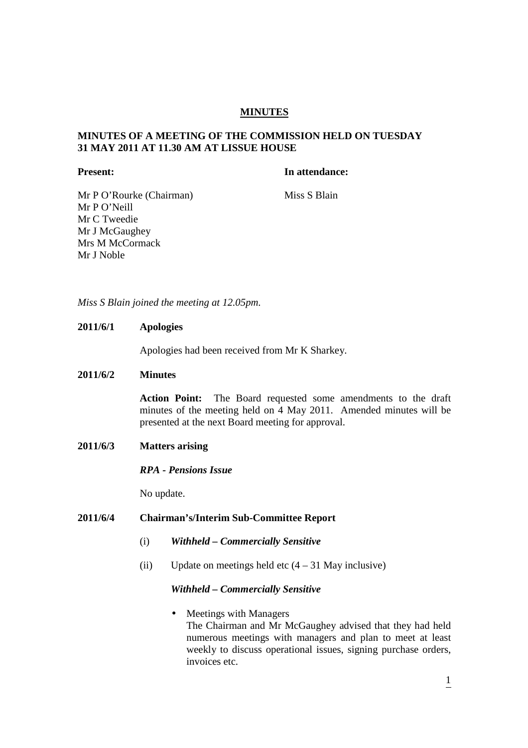# **MINUTES**

# **MINUTES OF A MEETING OF THE COMMISSION HELD ON TUESDAY 31 MAY 2011 AT 11.30 AM AT LISSUE HOUSE**

## **Present:** In attendance:

Mr P O'Rourke (Chairman) Miss S Blain Mr P O'Neill Mr C Tweedie Mr J McGaughey Mrs M McCormack Mr J Noble

# *Miss S Blain joined the meeting at 12.05pm.*

## **2011/6/1 Apologies**

Apologies had been received from Mr K Sharkey.

# **2011/6/2 Minutes**

**Action Point:** The Board requested some amendments to the draft minutes of the meeting held on 4 May 2011. Amended minutes will be presented at the next Board meeting for approval.

**2011/6/3 Matters arising** 

### *RPA - Pensions Issue*

No update.

## **2011/6/4 Chairman's/Interim Sub-Committee Report**

- (i) *Withheld Commercially Sensitive*
- (ii) Update on meetings held etc  $(4 31$  May inclusive)

## *Withheld – Commercially Sensitive*

• Meetings with Managers The Chairman and Mr McGaughey advised that they had held numerous meetings with managers and plan to meet at least weekly to discuss operational issues, signing purchase orders, invoices etc.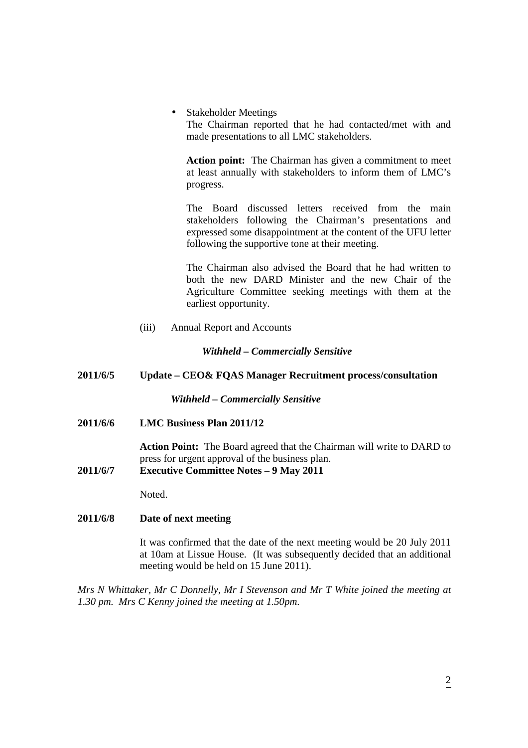• Stakeholder Meetings

The Chairman reported that he had contacted/met with and made presentations to all LMC stakeholders.

**Action point:** The Chairman has given a commitment to meet at least annually with stakeholders to inform them of LMC's progress.

The Board discussed letters received from the main stakeholders following the Chairman's presentations and expressed some disappointment at the content of the UFU letter following the supportive tone at their meeting.

The Chairman also advised the Board that he had written to both the new DARD Minister and the new Chair of the Agriculture Committee seeking meetings with them at the earliest opportunity.

(iii) Annual Report and Accounts

*Withheld – Commercially Sensitive*

# **2011/6/5 Update – CEO& FQAS Manager Recruitment process/consultation**

*Withheld – Commercially Sensitive*

**2011/6/6 LMC Business Plan 2011/12** 

**Action Point:** The Board agreed that the Chairman will write to DARD to press for urgent approval of the business plan.

**2011/6/7 Executive Committee Notes – 9 May 2011**

Noted.

# **2011/6/8 Date of next meeting**

It was confirmed that the date of the next meeting would be 20 July 2011 at 10am at Lissue House. (It was subsequently decided that an additional meeting would be held on 15 June 2011).

*Mrs N Whittaker, Mr C Donnelly, Mr I Stevenson and Mr T White joined the meeting at 1.30 pm. Mrs C Kenny joined the meeting at 1.50pm.*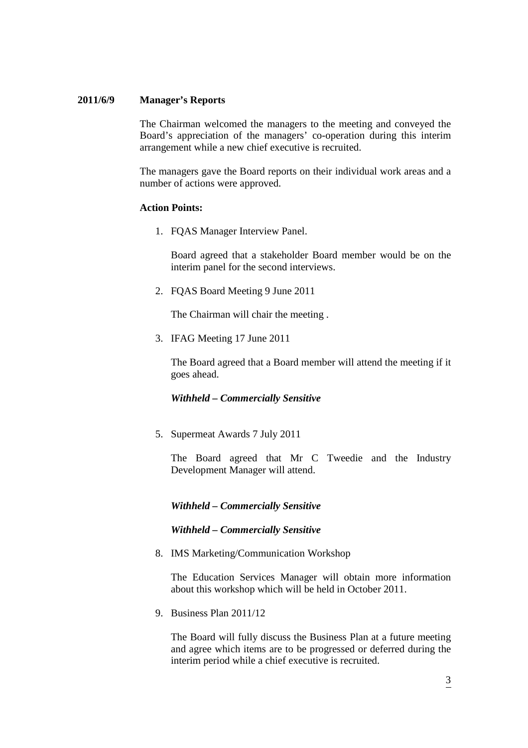## **2011/6/9 Manager's Reports**

The Chairman welcomed the managers to the meeting and conveyed the Board's appreciation of the managers' co-operation during this interim arrangement while a new chief executive is recruited.

The managers gave the Board reports on their individual work areas and a number of actions were approved.

## **Action Points:**

1. FQAS Manager Interview Panel.

Board agreed that a stakeholder Board member would be on the interim panel for the second interviews.

2. FQAS Board Meeting 9 June 2011

The Chairman will chair the meeting .

3. IFAG Meeting 17 June 2011

The Board agreed that a Board member will attend the meeting if it goes ahead.

*Withheld – Commercially Sensitive*

5. Supermeat Awards 7 July 2011

The Board agreed that Mr C Tweedie and the Industry Development Manager will attend.

*Withheld – Commercially Sensitive*

*Withheld – Commercially Sensitive*

8. IMS Marketing/Communication Workshop

The Education Services Manager will obtain more information about this workshop which will be held in October 2011.

9. Business Plan 2011/12

The Board will fully discuss the Business Plan at a future meeting and agree which items are to be progressed or deferred during the interim period while a chief executive is recruited.